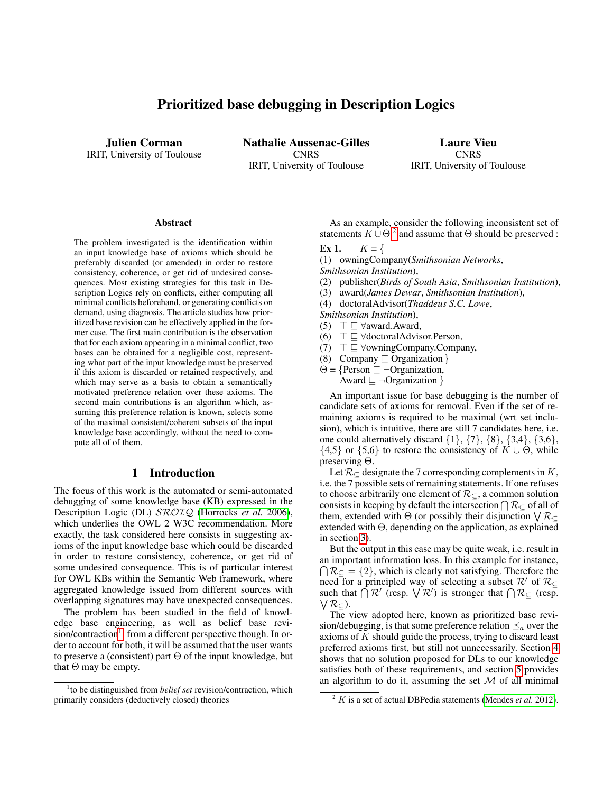# Prioritized base debugging in Description Logics

<span id="page-0-2"></span>Julien Corman IRIT, University of Toulouse Nathalie Aussenac-Gilles **CNRS** IRIT, University of Toulouse

Laure Vieu **CNRS** IRIT, University of Toulouse

#### **Abstract**

The problem investigated is the identification within an input knowledge base of axioms which should be preferably discarded (or amended) in order to restore consistency, coherence, or get rid of undesired consequences. Most existing strategies for this task in Description Logics rely on conflicts, either computing all minimal conflicts beforehand, or generating conflicts on demand, using diagnosis. The article studies how prioritized base revision can be effectively applied in the former case. The first main contribution is the observation that for each axiom appearing in a minimal conflict, two bases can be obtained for a negligible cost, representing what part of the input knowledge must be preserved if this axiom is discarded or retained respectively, and which may serve as a basis to obtain a semantically motivated preference relation over these axioms. The second main contributions is an algorithm which, assuming this preference relation is known, selects some of the maximal consistent/coherent subsets of the input knowledge base accordingly, without the need to compute all of of them.

## 1 Introduction

The focus of this work is the automated or semi-automated debugging of some knowledge base (KB) expressed in the Description Logic (DL)  $\text{SROTQ}$  [\(Horrocks](#page-7-0) *et al.* 2006), which underlies the OWL 2 W3C recommendation. More exactly, the task considered here consists in suggesting axioms of the input knowledge base which could be discarded in order to restore consistency, coherence, or get rid of some undesired consequence. This is of particular interest for OWL KBs within the Semantic Web framework, where aggregated knowledge issued from different sources with overlapping signatures may have unexpected consequences.

The problem has been studied in the field of knowledge base engineering, as well as belief base revi-sion/contraction<sup>[1](#page-0-0)</sup>, from a different perspective though. In order to account for both, it will be assumed that the user wants to preserve a (consistent) part Θ of the input knowledge, but that  $\Theta$  may be empty.

As an example, consider the following inconsistent set of statements  $K \cup \Theta$ <sup>[2](#page-0-1)</sup>, and assume that  $\Theta$  should be preserved :

#### **Ex 1.**  $K = \{$

(1) owningCompany(*Smithsonian Networks*, *Smithsonian Institution*),

- (2) publisher(*Birds of South Asia*, *Smithsonian Institution*),
- (3) award(*James Dewar*, *Smithsonian Institution*),
- (4) doctoralAdvisor(*Thaddeus S.C. Lowe*,
- *Smithsonian Institution*),
- (5)  $\top \sqsubset \forall$ award.Award,
- (6)  $\top \sqsubseteq \forall \text{doctoralAdvisor.Person},$
- $(7)$   $\top \sqsubseteq$   $\forall$ owningCompany.Company,
- (8) Company  $\subseteq$  Organization }
- $\Theta = \{$ Person  $\sqsubseteq \neg$ Organization, Award  $\sqsubseteq \neg$ Organization }

An important issue for base debugging is the number of candidate sets of axioms for removal. Even if the set of remaining axioms is required to be maximal (wrt set inclusion), which is intuitive, there are still 7 candidates here, i.e. one could alternatively discard  $\{1\}$ ,  $\{7\}$ ,  $\{8\}$ ,  $\{3,4\}$ ,  $\{3,6\}$ ,  ${4,5}$  or  ${5,6}$  to restore the consistency of  $K \cup \Theta$ , while preserving Θ.

Let  $\mathcal{R}_{\subset}$  designate the 7 corresponding complements in K, i.e. the 7 possible sets of remaining statements. If one refuses to choose arbitrarily one element of  $\mathcal{R}_{\subseteq}$ , a common solution consists in keeping by default the intersection  $\bigcap \mathcal{R}_{\subseteq}$  of all of them, extended with  $\Theta$  (or possibly their disjunction  $\sqrt{\mathcal{R}_{\subseteq}}$ extended with Θ, depending on the application, as explained in section [3\)](#page-1-0).

But the output in this case may be quite weak, i.e. result in an important information loss. In this example for instance,  $\bigcap R_{\subseteq} = \{2\}$ , which is clearly not satisfying. Therefore the need for a principled way of selecting a subset  $\mathcal{R}'$  of  $\mathcal{R}_{\subset}$ such that  $\bigcap_{i=1}^n \mathcal{R}'$  (resp.  $\bigvee_{i=1}^n \mathcal{R}'$ ) is stronger that  $\bigcap_{i=1}^n \mathcal{R}'$  (resp.  $\bigvee$   $\mathcal{R}_{\subseteq}$ ).

The view adopted here, known as prioritized base revision/debugging, is that some preference relation  $\preceq_a$  over the axioms of K should guide the process, trying to discard least preferred axioms first, but still not unnecessarily. Section [4](#page-3-0) shows that no solution proposed for DLs to our knowledge satisfies both of these requirements, and section [5](#page-4-0) provides an algorithm to do it, assuming the set  $M$  of all minimal

<span id="page-0-0"></span><sup>&</sup>lt;sup>1</sup>to be distinguished from *belief set* revision/contraction, which primarily considers (deductively closed) theories

<span id="page-0-1"></span> $2 K$  is a set of actual DBPedia statements [\(Mendes](#page-7-1) *et al.* 2012).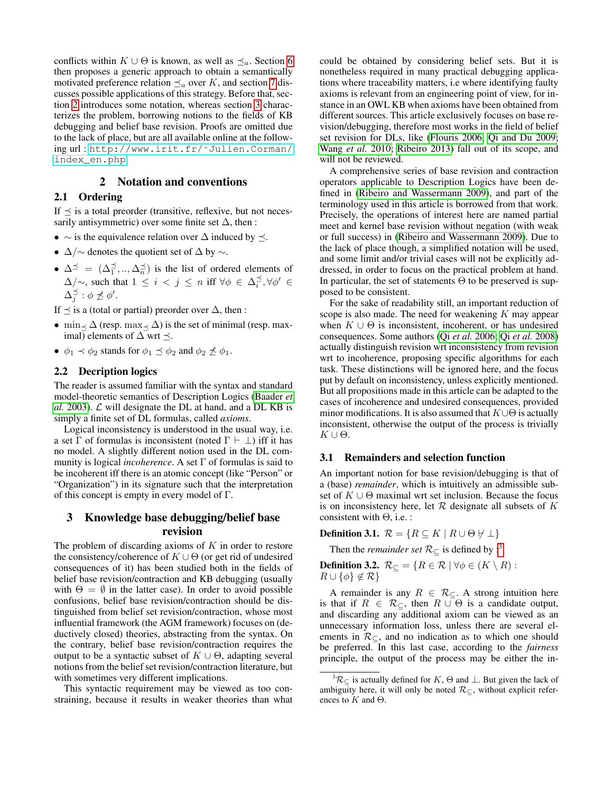conflicts within  $K \cup \Theta$  is known, as well as  $\preceq_a$ . Section [6](#page-5-0) then proposes a generic approach to obtain a semantically motivated preference relation  $\preceq_a$  over K, and section [7](#page-6-0) discusses possible applications of this strategy. Before that, section [2](#page-1-1) introduces some notation, whereas section [3](#page-1-0) characterizes the problem, borrowing notions to the fields of KB debugging and belief base revision. Proofs are omitted due to the lack of place, but are all available online at the following url : [http://www.irit.fr/˜Julien.Corman/](http://www.irit.fr/~Julien.Corman/index_en.php) [index\\_en.php](http://www.irit.fr/~Julien.Corman/index_en.php).

## 2 Notation and conventions

### <span id="page-1-1"></span>2.1 Ordering

If  $\preceq$  is a total preorder (transitive, reflexive, but not necessarily antisymmetric) over some finite set  $\Delta$ , then :

- $\sim$  is the equivalence relation over  $\Delta$  induced by  $\preceq$ .
- $\Delta/\sim$  denotes the quotient set of  $\Delta$  by  $\sim$ .
- $\Delta^{\preceq} = (\Delta_1^{\preceq}, ..., \Delta_n^{\preceq})$  is the list of ordered elements of  $\Delta/\sim$ , such that  $1 \leq i < j \leq n$  iff  $\forall \phi \in \Delta_i^{\preceq}, \forall \phi' \in$  $\Delta_j^{\preceq}:\phi\not\preceq\phi'.$

If  $\preceq$  is a (total or partial) preorder over  $\triangle$ , then :

- min  $\lt \Delta$  (resp. max $\lt \Delta$ ) is the set of minimal (resp. maximal) elements of  $\Delta$  wrt  $\preceq$ .
- $\phi_1 \prec \phi_2$  stands for  $\phi_1 \preceq \phi_2$  and  $\phi_2 \not\preceq \phi_1$ .

## 2.2 Decription logics

The reader is assumed familiar with the syntax and standard model-theoretic semantics of Description Logics [\(Baader](#page-7-2) *et al.* [2003\)](#page-7-2).  $\mathcal{L}$  will designate the DL at hand, and a DL KB is simply a finite set of DL formulas, called *axioms*.

Logical inconsistency is understood in the usual way, i.e. a set  $\Gamma$  of formulas is inconsistent (noted  $\Gamma \vdash \bot$ ) iff it has no model. A slightly different notion used in the DL community is logical *incoherence*. A set Γ of formulas is said to be incoherent iff there is an atomic concept (like "Person" or "Organization") in its signature such that the interpretation of this concept is empty in every model of Γ.

# <span id="page-1-0"></span>3 Knowledge base debugging/belief base revision

The problem of discarding axioms of  $K$  in order to restore the consistency/coherence of  $K \cup \Theta$  (or get rid of undesired consequences of it) has been studied both in the fields of belief base revision/contraction and KB debugging (usually with  $\Theta = \emptyset$  in the latter case). In order to avoid possible confusions, belief base revision/contraction should be distinguished from belief set revision/contraction, whose most influential framework (the AGM framework) focuses on (deductively closed) theories, abstracting from the syntax. On the contrary, belief base revision/contraction requires the output to be a syntactic subset of  $K \cup \Theta$ , adapting several notions from the belief set revision/contraction literature, but with sometimes very different implications.

This syntactic requirement may be viewed as too constraining, because it results in weaker theories than what could be obtained by considering belief sets. But it is nonetheless required in many practical debugging applications where traceability matters, i.e where identifying faulty axioms is relevant from an engineering point of view, for instance in an OWL KB when axioms have been obtained from different sources. This article exclusively focuses on base revision/debugging, therefore most works in the field of belief set revision for DLs, like [\(Flouris 2006;](#page-7-3) [Qi and Du 2009;](#page-7-4) [Wang](#page-7-5) *et al.* 2010; [Ribeiro 2013\)](#page-7-6) fall out of its scope, and will not be reviewed.

A comprehensive series of base revision and contraction operators applicable to Description Logics have been defined in [\(Ribeiro and Wassermann 2009\)](#page-7-7), and part of the terminology used in this article is borrowed from that work. Precisely, the operations of interest here are named partial meet and kernel base revision without negation (with weak or full success) in [\(Ribeiro and Wassermann 2009\)](#page-7-7). Due to the lack of place though, a simplified notation will be used, and some limit and/or trivial cases will not be explicitly addressed, in order to focus on the practical problem at hand. In particular, the set of statements  $\Theta$  to be preserved is supposed to be consistent.

For the sake of readability still, an important reduction of scope is also made. The need for weakening  $K$  may appear when  $K \cup \Theta$  is inconsistent, incoherent, or has undesired consequences. Some authors (Qi *et al.* [2006;](#page-7-8) Qi *et al.* [2008\)](#page-7-9) actually distinguish revision wrt inconsistency from revision wrt to incoherence, proposing specific algorithms for each task. These distinctions will be ignored here, and the focus put by default on inconsistency, unless explicitly mentioned. But all propositions made in this article can be adapted to the cases of incoherence and undesired consequences, provided minor modifications. It is also assumed that  $K \cup \Theta$  is actually inconsistent, otherwise the output of the process is trivially  $K \cup Θ.$ 

## <span id="page-1-3"></span>3.1 Remainders and selection function

An important notion for base revision/debugging is that of a (base) *remainder*, which is intuitively an admissible subset of  $K \cup \Theta$  maximal wrt set inclusion. Because the focus is on inconsistency here, let  $R$  designate all subsets of  $K$ consistent with  $\Theta$ , i.e. :

Definition 3.1.  $\mathcal{R} = \{ R \subseteq K \mid R \cup \Theta \not\vdash \bot \}$ 

Then the *remainder set*  $\mathcal{R}_{\subset}$  is defined by :<sup>[3](#page-1-2)</sup>

**Definition 3.2.**  $\mathcal{R}_{\subseteq} = \{ R \in \mathcal{R} \mid \forall \phi \in (K \setminus R) :$  $R \cup \{\phi\} \notin \mathcal{R}\}$ 

A remainder is any  $R \in \mathcal{R}_{\subseteq}$ . A strong intuition here is that if  $R \in \mathcal{R}_{\subset}$ , then  $R \cup \Theta$  is a candidate output, and discarding any additional axiom can be viewed as an unnecessary information loss, unless there are several elements in  $\mathcal{R}_{\subset}$ , and no indication as to which one should be preferred. In this last case, according to the *fairness* principle, the output of the process may be either the in-

<span id="page-1-2"></span> ${}^{3}\mathcal{R}_{\subset}$  is actually defined for  $K$ ,  $\Theta$  and  $\perp$ . But given the lack of ambiguity here, it will only be noted  $\mathcal{R}_{\subseteq}$ , without explicit references to  $K$  and  $\Theta$ .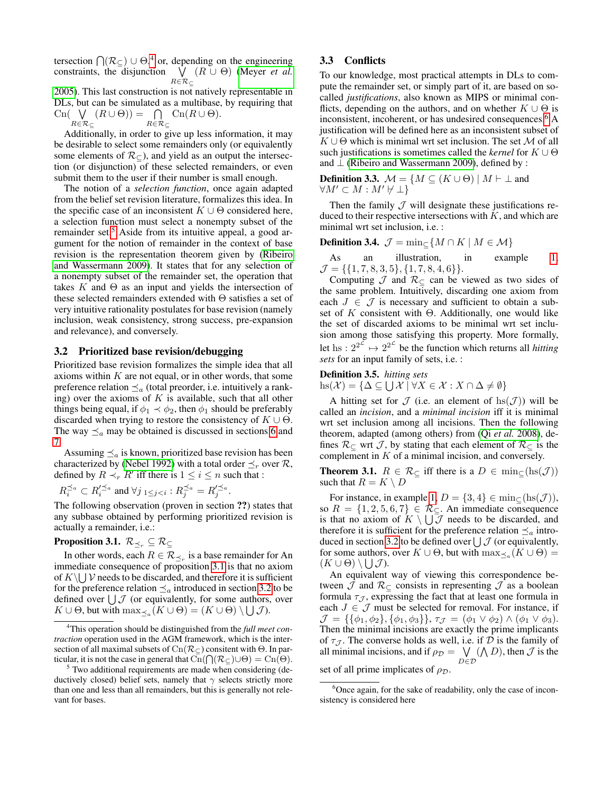tersection  $\bigcap (\mathcal{R}_{\subseteq}) \cup \Theta$ ,<sup>[4](#page-2-0)</sup> or, depending on the engineering constraints, the disjunction  $\forall (R \cup \Theta)$  [\(Meyer](#page-7-10) *et al.*)  $R\in\mathcal{R}_\subset$ [2005\)](#page-7-10). This last construction is not natively representable in

DLs, but can be simulated as a multibase, by requiring that  $\text{Cn}(\forall)$  $R\in\mathcal{R}_\subseteq$  $(R\cup\Theta)) = \bigcap$  $R\in\mathcal{R}_\subseteq$  $\operatorname{Cn}(R \cup \Theta).$ 

Additionally, in order to give up less information, it may be desirable to select some remainders only (or equivalently some elements of  $\mathcal{R}_{\subseteq}$ ), and yield as an output the intersection (or disjunction) of these selected remainders, or even submit them to the user if their number is small enough.

The notion of a *selection function*, once again adapted from the belief set revision literature, formalizes this idea. In the specific case of an inconsistent  $K \cup \Theta$  considered here, a selection function must select a nonempty subset of the remainder set.<sup>[5](#page-2-1)</sup> Aside from its intuitive appeal, a good argument for the notion of remainder in the context of base revision is the representation theorem given by [\(Ribeiro](#page-7-7) [and Wassermann 2009\)](#page-7-7). It states that for any selection of a nonempty subset of the remainder set, the operation that takes K and  $\Theta$  as an input and yields the intersection of these selected remainders extended with Θ satisfies a set of very intuitive rationality postulates for base revision (namely inclusion, weak consistency, strong success, pre-expansion and relevance), and conversely.

### <span id="page-2-3"></span>3.2 Prioritized base revision/debugging

Prioritized base revision formalizes the simple idea that all axioms within  $K$  are not equal, or in other words, that some preference relation  $\preceq_a$  (total preorder, i.e. intuitively a ranking) over the axioms of  $K$  is available, such that all other things being equal, if  $\phi_1 \prec \phi_2$ , then  $\phi_1$  should be preferably discarded when trying to restore the consistency of  $K \cup \Theta$ . The way  $\preceq_a$  may be obtained is discussed in sections [6](#page-5-0) and [7.](#page-6-0)

Assuming  $\preceq_a$  is known, prioritized base revision has been characterized by [\(Nebel 1992\)](#page-7-11) with a total order  $\preceq_r$  over  $\mathcal{R}$ , defined by  $R \prec_r R'$  iff there is  $1 \leq i \leq n$  such that :

$$
R_i^{\preceq_a} \subset R_i'^{\preceq_a} \text{ and } \forall j_{1 \leq j < i} : R_j^{\preceq_a} = R_j'^{\preceq_a}.
$$

The following observation (proven in section ??) states that any subbase obtained by performing prioritized revision is actually a remainder, i.e.:

# <span id="page-2-2"></span>**Proposition 3.1.**  $\mathcal{R}_{\preceq_r} \subseteq \mathcal{R}_{\subseteq}$

In other words, each  $R \in \mathcal{R}_{\preceq_r}$  is a base remainder for An immediate consequence of proposition [3.1](#page-2-2) is that no axiom of  $K \setminus \bigcup V$  needs to be discarded, and therefore it is sufficient for the preference relation  $\preceq_a$  introduced in section [3.2](#page-2-3) to be defined over  $\bigcup \mathcal{J}$  (or equivalently, for some authors, over  $K \cup \Theta$ , but with  $\max_{\preceq_a} (K \cup \Theta) = (K \cup \Theta) \setminus \bigcup \mathcal{J}$ .

### <span id="page-2-5"></span>3.3 Conflicts

To our knowledge, most practical attempts in DLs to compute the remainder set, or simply part of it, are based on socalled *justifications*, also known as MIPS or minimal conflicts, depending on the authors, and on whether  $K \cup \Theta$  is inconsistent, incoherent, or has undesired consequences.<sup>[6](#page-2-4)</sup> A justification will be defined here as an inconsistent subset of  $K \cup \Theta$  which is minimal wrt set inclusion. The set M of all such justifications is sometimes called the *kernel* for K ∪ Θ and  $\perp$  [\(Ribeiro and Wassermann 2009\)](#page-7-7), defined by :

**Definition 3.3.**  $\mathcal{M} = \{M \subseteq (K \cup \Theta) \mid M \vdash \bot \text{ and} \}$  $\forall M' \subset M : M' \not\vdash \bot$ 

Then the family  $\mathcal J$  will designate these justifications reduced to their respective intersections with  $K$ , and which are minimal wrt set inclusion, i.e. :

**Definition 3.4.** 
$$
\mathcal{J} = \min_{\subseteq} \{ M \cap K \mid M \in \mathcal{M} \}
$$

As an illustration, in example [1,](#page-0-2)  $\mathcal{J} = \{\{1, 7, 8, 3, 5\}, \{1, 7, 8, 4, 6\}\}.$ 

Computing  $\mathcal J$  and  $\mathcal R_{\subseteq}$  can be viewed as two sides of the same problem. Intuitively, discarding one axiom from each  $J \in \mathcal{J}$  is necessary and sufficient to obtain a subset of K consistent with  $\Theta$ . Additionally, one would like the set of discarded axioms to be minimal wrt set inclusion among those satisfying this property. More formally, let hs :  $2^{2^{\mathcal{L}}} \mapsto 2^{2^{\mathcal{L}}}$  be the function which returns all *hitting sets* for an input family of sets, i.e. :

#### Definition 3.5. *hitting sets*

 $\text{hs}(\mathcal{X}) = \{ \Delta \subseteq \bigcup \mathcal{X} \mid \forall X \in \mathcal{X} : X \cap \Delta \neq \emptyset \}$ 

A hitting set for  $\mathcal J$  (i.e. an element of hs $(\mathcal J)$ ) will be called an *incision*, and a *minimal incision* iff it is minimal wrt set inclusion among all incisions. Then the following theorem, adapted (among others) from (Qi *et al.* [2008\)](#page-7-9), defines  $\mathcal{R}_{\subseteq}$  wrt  $\mathcal{J}$ , by stating that each element of  $\mathcal{R}_{\subseteq}$  is the complement in  $K$  of a minimal incision, and conversely.

**Theorem 3.1.**  $R \in \mathcal{R}_{\subset}$  iff there is a  $D \in \min_{\subset} (\text{hs}(\mathcal{J}))$ such that  $R = K \setminus D$ 

For instance, in example [1,](#page-0-2)  $D = \{3, 4\} \in \min_{\subset} (\text{hs}(\mathcal{J}))$ , so  $R = \{1, 2, 5, 6, 7\} \in \mathcal{R}_{\subset}$ . An immediate consequence is that no axiom of  $K \setminus \bigcup \overline{J}$  needs to be discarded, and therefore it is sufficient for the preference relation  $\preceq_a$  intro-duced in section [3.2](#page-2-3) to be defined over  $\bigcup \mathcal{J}$  (or equivalently, for some authors, over  $K \cup \Theta$ , but with  $\max_{\preceq_a} (K \cup \Theta) =$  $(K \cup \Theta) \setminus \bigcup \mathcal{J}.$ 

An equivalent way of viewing this correspondence between  $\mathcal J$  and  $\mathcal R_{\subset}$  consists in representing  $\mathcal J$  as a boolean formula  $\tau_{\mathcal{J}}$ , expressing the fact that at least one formula in each  $J \in \mathcal{J}$  must be selected for removal. For instance, if  $\mathcal{J} = \{\{\phi_1, \phi_2\}, \{\phi_1, \phi_3\}\}, \tau_{\mathcal{J}} = (\phi_1 \vee \phi_2) \wedge (\phi_1 \vee \phi_3).$ Then the minimal incisions are exactly the prime implicants of  $\tau_{\mathcal{J}}$ . The converse holds as well, i.e. if  $\mathcal{D}$  is the family of all minimal incisions, and if  $\rho_{\mathcal{D}} = \bigvee$ D∈D  $(\bigwedge D)$ , then  $\mathcal J$  is the

set of all prime implicates of  $\rho_{\mathcal{D}}$ .

<span id="page-2-0"></span><sup>4</sup>This operation should be distinguished from the *full meet contraction* operation used in the AGM framework, which is the intersection of all maximal subsets of  $\text{Cn}(\mathcal{R}_{\subset})$  consitent with  $\Theta$ . In particular, it is not the case in general that  $\overline{\text{Cn}}(\bigcap (\mathcal{R}_{\subseteq}) \cup \Theta) = \text{Cn}(\Theta)$ .

<span id="page-2-1"></span> $<sup>5</sup>$  Two additional requirements are made when considering (de-</sup> ductively closed) belief sets, namely that  $\gamma$  selects strictly more than one and less than all remainders, but this is generally not relevant for bases.

<span id="page-2-4"></span><sup>&</sup>lt;sup>6</sup>Once again, for the sake of readability, only the case of inconsistency is considered here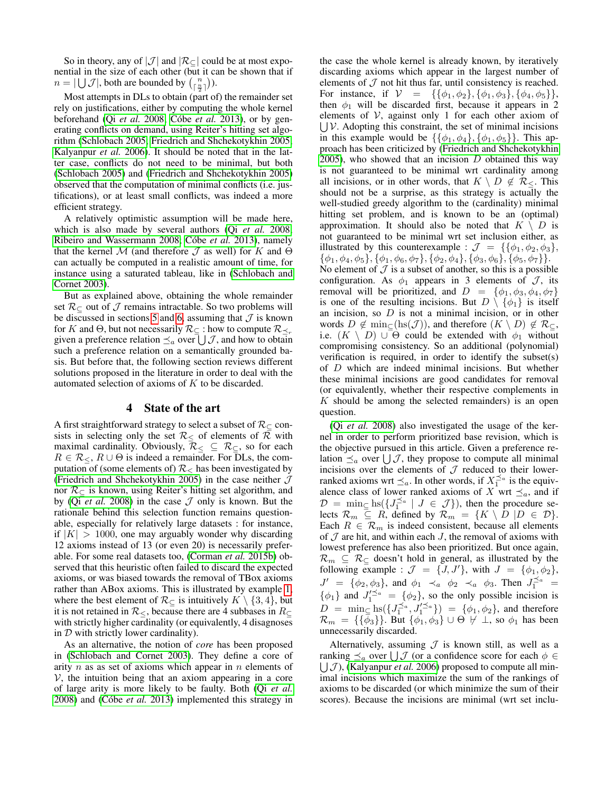So in theory, any of  $|\mathcal{J}|$  and  $|\mathcal{R}_{\subset}|$  could be at most exponential in the size of each other (but it can be shown that if  $n = |\bigcup \mathcal{J}|$ , both are bounded by  $\binom{n}{\lceil \frac{n}{2} \rceil}$ ).

Most attempts in DLs to obtain (part of) the remainder set rely on justifications, either by computing the whole kernel beforehand (Qi *[et al.](#page-7-9)* 2008; Cóbe *et al.* 2013), or by generating conflicts on demand, using Reiter's hitting set algorithm [\(Schlobach 2005;](#page-7-13) [Friedrich and Shchekotykhin 2005;](#page-7-14) [Kalyanpur](#page-7-15) *et al.* 2006). It should be noted that in the latter case, conflicts do not need to be minimal, but both [\(Schlobach 2005\)](#page-7-13) and [\(Friedrich and Shchekotykhin 2005\)](#page-7-14) observed that the computation of minimal conflicts (i.e. justifications), or at least small conflicts, was indeed a more efficient strategy.

A relatively optimistic assumption will be made here, which is also made by several authors (Qi *[et al.](#page-7-9)* 2008; [Ribeiro and Wassermann 2008;](#page-7-16) Cóbe et al. 2013), namely that the kernel M (and therefore  $\mathcal J$  as well) for K and  $\Theta$ can actually be computed in a realistic amount of time, for instance using a saturated tableau, like in [\(Schlobach and](#page-7-17) [Cornet 2003\)](#page-7-17).

But as explained above, obtaining the whole remainder set  $\mathcal{R}_{\subset}$  out of  $\mathcal J$  remains intractable. So two problems will be discussed in sections [5](#page-4-0) and [6,](#page-5-0) assuming that  $J$  is known for K and  $\Theta$ , but not necessarily  $\mathcal{R}_{\subset}$ : how to compute  $\mathcal{R}_{\preceq_r}$ given a preference relation  $\preceq_a$  over  $\bigcup \mathcal{J}$ , and how to obtain such a preference relation on a semantically grounded basis. But before that, the following section reviews different solutions proposed in the literature in order to deal with the automated selection of axioms of K to be discarded.

## 4 State of the art

<span id="page-3-0"></span>A first straightforward strategy to select a subset of  $\mathcal{R}_{\subset}$  consists in selecting only the set  $\mathcal{R}_{\leq}$  of elements of  $\mathcal R$  with maximal cardinality. Obviously,  $\mathcal{R}_{\leq} \subseteq \mathcal{R}_{\subseteq}$ , so for each  $R \in \mathcal{R}_{\leq}$ ,  $R \cup \Theta$  is indeed a remainder. For DLs, the computation of (some elements of)  $\mathcal{R}_\leq$  has been investigated by [\(Friedrich and Shchekotykhin 2005\)](#page-7-14) in the case neither  $J$ nor  $\mathcal{R}_{\subset}$  is known, using Reiter's hitting set algorithm, and by (Qi *et al.* [2008\)](#page-7-9) in the case  $J$  only is known. But the rationale behind this selection function remains questionable, especially for relatively large datasets : for instance, if  $|K| > 1000$ , one may arguably wonder why discarding 12 axioms instead of 13 (or even 20) is necessarily preferable. For some real datasets too, [\(Corman](#page-7-18) *et al.* 2015b) observed that this heuristic often failed to discard the expected axioms, or was biased towards the removal of TBox axioms rather than ABox axioms. This is illustrated by example [1,](#page-0-2) where the best element of  $\mathcal{R}_{\subset}$  is intuitively  $K \setminus \{3, 4\}$ , but it is not retained in  $\mathcal{R}_{\leq}$ , because there are 4 subbases in  $R_{\subseteq}$ with strictly higher cardinality (or equivalently, 4 disagnoses in  $D$  with strictly lower cardinality).

As an alternative, the notion of *core* has been proposed in [\(Schlobach and Cornet 2003\)](#page-7-17). They define a core of arity  $n$  as as set of axioms which appear in  $n$  elements of  $V$ , the intuition being that an axiom appearing in a core of large arity is more likely to be faulty. Both (Qi *[et al.](#page-7-9)* [2008\)](#page-7-9) and (Cóbe *et al.* 2013) implemented this strategy in

the case the whole kernel is already known, by iteratively discarding axioms which appear in the largest number of elements of  $J$  not hit thus far, until consistency is reached. For instance, if  $V = \{ \{\phi_1, \phi_2\}, \{\phi_1, \phi_3\}, \{\phi_4, \phi_5\} \},\$ then  $\phi_1$  will be discarded first, because it appears in 2 elements of  $V$ , against only 1 for each other axiom of  $\bigcup \mathcal{V}$ . Adopting this constraint, the set of minimal incisions in this example would be  $\{\{\phi_1, \phi_4\}, \{\phi_1, \phi_5\}\}\.$  This approach has been criticized by [\(Friedrich and Shchekotykhin](#page-7-14) [2005\)](#page-7-14), who showed that an incision  $D$  obtained this way is not guaranteed to be minimal wrt cardinality among all incisions, or in other words, that  $K \setminus D \notin \mathcal{R}_{\leq}$ . This should not be a surprise, as this strategy is actually the well-studied greedy algorithm to the (cardinality) minimal hitting set problem, and is known to be an (optimal) approximation. It should also be noted that  $K \setminus D$  is not guaranteed to be minimal wrt set inclusion either, as illustrated by this counterexample :  $\mathcal{J} = \{ \{\phi_1, \phi_2, \phi_3\},\}$  $\{\phi_1, \phi_4, \phi_5\}, \{\phi_1, \phi_6, \phi_7\}, \{\phi_2, \phi_4\}, \{\phi_3, \phi_6\}, \{\phi_5, \phi_7\}\}.$ No element of  $\mathcal J$  is a subset of another, so this is a possible configuration. As  $\phi_1$  appears in 3 elements of  $\mathcal{J}$ , its removal will be prioritized, and  $D = \{\phi_1, \phi_3, \phi_4, \phi_7\}$ is one of the resulting incisions. But  $D \setminus \{\phi_1\}$  is itself an incision, so  $D$  is not a minimal incision, or in other words  $D \notin \min_{\subset} (\text{hs}(\mathcal{J}))$ , and therefore  $(K \setminus D) \notin \mathcal{R}_{\subset}$ , i.e.  $(K \setminus D) \cup \Theta$  could be extended with  $\phi_1$  without compromising consistency. So an additional (polynomial) verification is required, in order to identify the subset(s) of D which are indeed minimal incisions. But whether these minimal incisions are good candidates for removal (or equivalently, whether their respective complements in  $K$  should be among the selected remainders) is an open question.

(Qi *[et al.](#page-7-9)* 2008) also investigated the usage of the kernel in order to perform prioritized base revision, which is the objective pursued in this article. Given a preference relation  $\preceq_a$  over  $\bigcup \mathcal{J}$ , they propose to compute all minimal incisions over the elements of  $J$  reduced to their lowerranked axioms wrt  $\preceq_a$ . In other words, if  $X_1^{\preceq_a}$  is the equivalence class of lower ranked axioms of X wrt  $\preceq_a$ , and if  $\mathcal{D} = \min_{\subseteq} \text{hs}(\lbrace J_1^{\preceq a} \mid J \in \mathcal{J} \rbrace)$ , then the procedure selects  $\mathcal{R}_m \subseteq R$ , defined by  $\mathcal{R}_m = \{K \setminus D \mid D \in \mathcal{D}\}.$ Each  $R \in \mathcal{R}_m$  is indeed consistent, because all elements of  $J$  are hit, and within each  $J$ , the removal of axioms with lowest preference has also been prioritized. But once again,  $\mathcal{R}_m \subseteq \mathcal{R}_{\subset}$  doesn't hold in general, as illustrated by the following example :  $\mathcal{J} = \{J, J'\}$ , with  $J = \{\phi_1, \phi_2\}$ ,  $J' = {\phi_2, \phi_3}$ , and  $\phi_1 \prec_a \phi_2 \prec_a \phi_3$ . Then  $J_1^{\preceq_a}$  $\{\phi_1\}$  and  $J_1^{\prime \preceq a} = \{\phi_2\}$ , so the only possible incision is  $D = \min_{\xi} \ln\left(\{J_1^{\leq a}, J_1'^{\leq a}\}\right) = \{\phi_1, \phi_2\}$ , and therefore  $\mathcal{R}_m = {\{\phi_3\}}.$  But  ${\phi_1, \phi_3\} \cup \Theta \not\vdash \bot$ , so  $\phi_1$  has been unnecessarily discarded.

Alternatively, assuming  $J$  is known still, as well as a ranking  $\preceq_a$  over  $\bigcup \mathcal{J}$  (or a confidence score for each  $\phi \in$  $\bigcup J$ ), [\(Kalyanpur](#page-7-15) *et al.* 2006) proposed to compute all minimal incisions which maximize the sum of the rankings of axioms to be discarded (or which minimize the sum of their scores). Because the incisions are minimal (wrt set inclu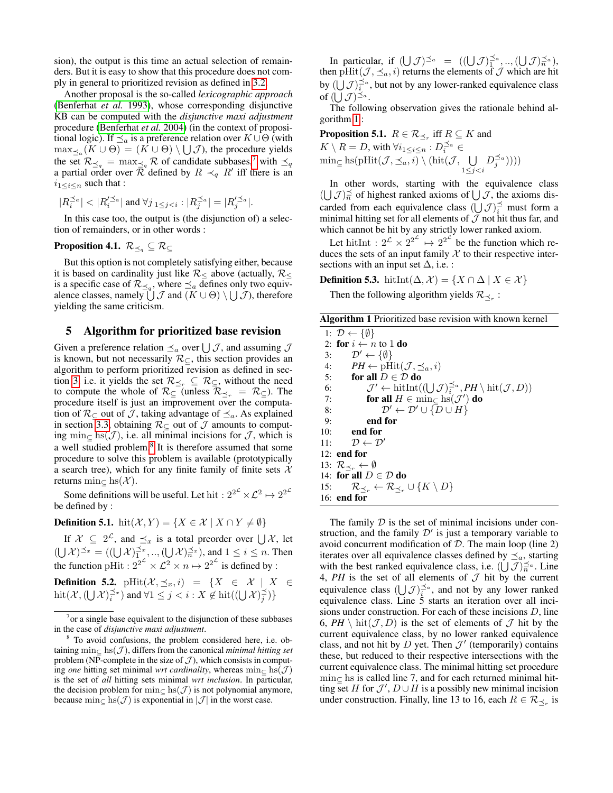sion), the output is this time an actual selection of remainders. But it is easy to show that this procedure does not comply in general to prioritized revision as defined in [3.2.](#page-2-3)

Another proposal is the so-called *lexicographic approach* [\(Benferhat](#page-7-19) *et al.* 1993), whose corresponding disjunctive KB can be computed with the *disjunctive maxi adjustment* procedure [\(Benferhat](#page-7-20) *et al.* 2004) (in the context of propositional logic). If  $\preceq_a$  is a preference relation over  $K \cup \Theta$  (with  $\max_{\leq_a} (K \cup \Theta) = (K \cup \Theta) \setminus \bigcup \mathcal{J}$ , the procedure yields the set  $\mathcal{R}_{\preceq q} = \max_{\preceq q} \mathcal{R}$  of candidate subbases,<sup>[7](#page-4-1)</sup> with  $\preceq_q$ a partial order over  $\overline{\mathcal{R}}$  defined by  $R \prec_q R'$  iff there is an  $i_{1 \leq i \leq n}$  such that :

$$
|R^{\preceq_a}_i| < |R'^{\preceq_a}_i| \text{ and } \forall j_{1 \leq j < i}: |R^{\preceq_a}_j| = |R'^{\preceq_a}_j|.
$$

In this case too, the output is (the disjunction of) a selection of remainders, or in other words :

## **Proposition 4.1.**  $\mathcal{R}_{\preceq q} \subseteq \mathcal{R}_{\subseteq}$

But this option is not completely satisfying either, because it is based on cardinality just like  $\mathcal{R}_\leq$  above (actually,  $\mathcal{R}_\leq$ is a specific case of  $\mathcal{R}_{\preceq q}$ , where  $\preceq_a$  defines only two equivalence classes, namely  $\bigcup \mathcal{J}$  and  $(K \cup \Theta) \setminus \bigcup \mathcal{J}$ ), therefore yielding the same criticism.

## <span id="page-4-0"></span>5 Algorithm for prioritized base revision

Given a preference relation  $\preceq_a$  over  $\bigcup \mathcal{J}$ , and assuming  $\mathcal J$ is known, but not necessarily  $\mathcal{R}_{\subset}$ , this section provides an algorithm to perform prioritized revision as defined in sec-tion [3,](#page-1-0) i.e. it yields the set  $\mathcal{R}_{\leq_r} \subseteq \mathcal{R}_{\subseteq}$ , without the need to compute the whole of  $\mathcal{R}_{\subset}$  (unless  $\mathcal{R}_{\prec_r} = \mathcal{R}_{\subset}$ ). The procedure itself is just an improvement over the computation of  $\mathcal{R}_{\subset}$  out of  $\mathcal{J}$ , taking advantage of  $\preceq_a$ . As explained in section [3.3,](#page-2-5) obtaining  $\mathcal{R}_{\subset}$  out of  $\mathcal J$  amounts to computing min $\subset$  hs( $\mathcal{J}$ ), i.e. all minimal incisions for  $\mathcal{J}$ , which is a well studied problem.<sup>[8](#page-4-2)</sup> It is therefore assumed that some procedure to solve this problem is available (prototypically a search tree), which for any finite family of finite sets  $\mathcal{X}$ returns min $\subset$  hs( $\mathcal{X}$ ).

Some definitions will be useful. Let hit :  $2^{2^{\mathcal{L}}}\times \mathcal{L}^2 \mapsto 2^{2^{\mathcal{L}}}$ be defined by :

**Definition 5.1.** hit $(X, Y) = \{X \in \mathcal{X} \mid X \cap Y \neq \emptyset\}$ 

If  $X \subseteq 2^{\mathcal{L}}$ , and  $\preceq_x$  is a total preorder over  $\bigcup \mathcal{X}$ , let  $(\bigcup \mathcal{X})^{\preceq_x} = ((\bigcup \mathcal{X})_1^{\preceq_x}, ..., (\bigcup \mathcal{X})_n^{\preceq_x}),$  and  $1 \leq i \leq n$ . Then the function pHit :  $2^{2^{\mathcal{L}}}\times \mathcal{L}^2 \times n \mapsto 2^{2^{\mathcal{L}}}$  is defined by :

**Definition 5.2.**  $\text{pHit}(\mathcal{X}, \preceq_x, i) = \{X \in \mathcal{X} \mid X \in$  $\mathrm{hit}(\mathcal{X},(\bigcup \mathcal{X})^{\preceq x}_i)$  and  $\forall 1 \leq j < i : X \notin \mathrm{hit}((\bigcup \mathcal{X})^{\preceq}_j)\}$ 

In particular, if  $((\bigcup \mathcal{J})^{\preceq_a} = ((\bigcup \mathcal{J})^{\preceq_a}_{1}, ..., (\bigcup \mathcal{J})^{\preceq_a}_{n}),$ then pHit $(\mathcal{J}, \preceq_a, i)$  returns the elements of  $\mathcal J$  which are hit by  $(\bigcup \mathcal{J})_i^{\preceq a}$ , but not by any lower-ranked equivalence class of  $(\bigcup \mathcal{J})^{\preceq_a}$ .

The following observation gives the rationale behind algorithm [1](#page-4-3) :

**Proposition 5.1.**  $R \in \mathcal{R}_{\preceq_r}$  iff  $R \subseteq K$  and  $K \setminus R = D$ , with  $\forall i_1 \leq i \leq n : D_i^{\preceq a} \in$  $\min_{\subseteq} \text{hs}(\text{pHit}(\mathcal{J}, \preceq_a, i) \setminus (\text{hit}(\mathcal{J}, \cup))$  $1 \leq j < i$  $D_j^{\preceq_a}$ ))))

In other words, starting with the equivalence class  $(\bigcup \mathcal{J})_n \preceq$  of highest ranked axioms of  $\bigcup \mathcal{J}$ , the axioms discarded from each equivalence class  $(\bigcup \mathcal{J})_i^{\preceq}$  must form a minimal hitting set for all elements of  $\mathcal J$  not hit thus far, and which cannot be hit by any strictly lower ranked axiom.

Let hitInt :  $2^{\mathcal{L}} \times 2^{2^{\mathcal{L}}} \mapsto 2^{2^{\mathcal{L}}}$  be the function which reduces the sets of an input family  $\mathcal X$  to their respective intersections with an input set  $\Delta$ , i.e. :

**Definition 5.3.** hitInt $(\Delta, \mathcal{X}) = \{X \cap \Delta \mid X \in \mathcal{X}\}\$ 

Then the following algorithm yields  $\mathcal{R}_{\preceq_r}$ :

Algorithm 1 Prioritized base revision with known kernel

<span id="page-4-3"></span>

|     | 1: $\mathcal{D} \leftarrow \{\emptyset\}$                                                                           |
|-----|---------------------------------------------------------------------------------------------------------------------|
|     | 2: for $i \leftarrow n$ to 1 do                                                                                     |
| 3:  | $\mathcal{D}' \leftarrow \{\emptyset\}$                                                                             |
|     | $PH \leftarrow \text{pHit}(\mathcal{J}, \preceq_a, i)$<br>4:                                                        |
|     | for all $D \in \mathcal{D}$ do<br>5:                                                                                |
| 6:  | $\mathcal{J}' \leftarrow \text{hitInt}((\bigcup \mathcal{J})^{\preceq_a}, PH \setminus \text{hit}(\mathcal{J}, D))$ |
| 7:  | for all $H \in \min_{\subset} \text{hs}(\mathcal{J}')$ do                                                           |
| 8:  | $\mathcal{D}' \leftarrow \mathcal{D}' \cup {\overline{D} \cup H}$                                                   |
| 9:  | end for                                                                                                             |
| 10: | end for                                                                                                             |
|     | 11: $\mathcal{D} \leftarrow \mathcal{D}'$                                                                           |
|     | $12:$ end for                                                                                                       |
|     | 13: $\mathcal{R}_{\prec_r} \leftarrow \emptyset$                                                                    |
|     | 14: for all $D \in \mathcal{D}$ do                                                                                  |
|     | 15: $\mathcal{R}_{\prec_r} \leftarrow \mathcal{R}_{\prec_r} \cup \{K \setminus D\}$                                 |
|     | $16:$ end for                                                                                                       |

The family  $D$  is the set of minimal incisions under construction, and the family  $\mathcal{D}'$  is just a temporary variable to avoid concurrent modification of  $D$ . The main loop (line 2) iterates over all equivalence classes defined by  $\preceq_a$ , starting with the best ranked equivalence class, i.e.  $(\dot{\bigcup} \mathcal{J})^{\preceq a}_{\overline{n}}$ . Line 4,  $PH$  is the set of all elements of  $J$  hit by the current equivalence class  $(\bigcup \mathcal{J})_i^{\preceq_a}$ , and not by any lower ranked equivalence class. Line 5 starts an iteration over all incisions under construction. For each of these incisions D, line 6,  $PH \setminus \text{hit}(\mathcal{J}, D)$  is the set of elements of  $\mathcal J$  hit by the current equivalence class, by no lower ranked equivalence class, and not hit by  $D$  yet. Then  $\mathcal{J}'$  (temporarily) contains these, but reduced to their respective intersections with the current equivalence class. The minimal hitting set procedure min<sup>⊆</sup> hs is called line 7, and for each returned minimal hitting set H for  $\mathcal{J}'$ ,  $D \cup H$  is a possibly new minimal incision under construction. Finally, line 13 to 16, each  $R \in \mathcal{R}_{\preceq_r}$  is

<span id="page-4-1"></span> $<sup>7</sup>$  or a single base equivalent to the disjunction of these subbases</sup> in the case of *disjunctive maxi adjustment*.

<span id="page-4-2"></span><sup>8</sup> To avoid confusions, the problem considered here, i.e. obtaining min $\subset$  hs( $\mathcal{J}$ ), differs from the canonical *minimal hitting set* problem (NP-complete in the size of  $J$ ), which consists in computing *one* hitting set minimal *wrt cardinality*, whereas  $\min_{\mathcal{C}} \text{hs}(\mathcal{J})$ is the set of *all* hitting sets minimal *wrt inclusion*. In particular, the decision problem for min $\subset$  hs( $\mathcal{J}$ ) is not polynomial anymore, because  $\min_{\subset}$  hs( $\mathcal{J}$ ) is exponential in  $|\mathcal{J}|$  in the worst case.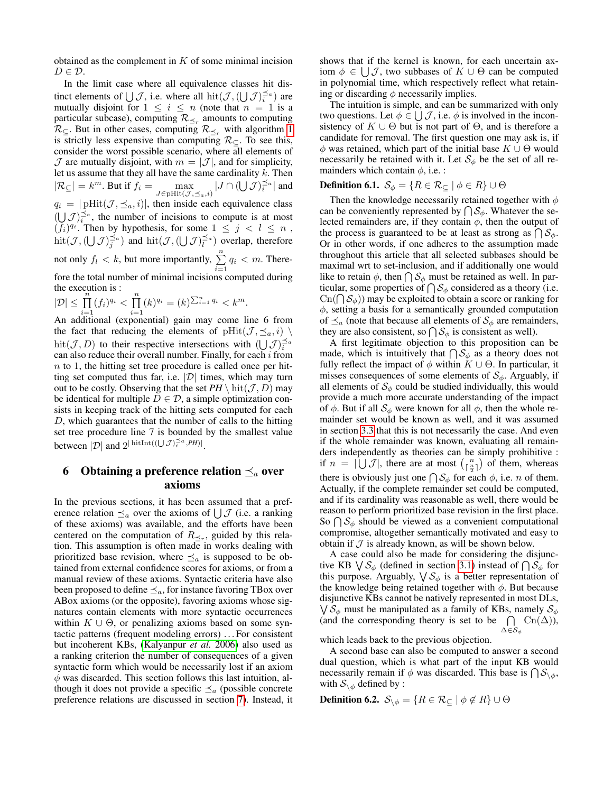obtained as the complement in  $K$  of some minimal incision  $D \in \mathcal{D}$ .

In the limit case where all equivalence classes hit distinct elements of  $\bigcup \mathcal{J}$ , i.e. where all  $\text{hit}(\mathcal{J}, (\bigcup \mathcal{J})_i^{\preceq a})$  are mutually disjoint for  $1 \leq i \leq n$  (note that  $n = 1$  is a particular subcase), computing  $\mathcal{R}_{\preceq_r}$  amounts to computing  $\mathcal{R}_{\subseteq}$ . But in other cases, computing  $\mathcal{R}_{\preceq_r}$  with algorithm [1](#page-4-3) is strictly less expensive than computing  $\mathcal{R}_{\subset}$ . To see this, consider the worst possible scenario, where all elements of  $\mathcal J$  are mutually disjoint, with  $m = |\mathcal J|$ , and for simplicity, let us assume that they all have the same cardinality  $k$ . Then  $|\mathcal{R}_{\subseteq}| = k^m$ . But if  $f_i = \max_{J \in \text{pHit}(\mathcal{J}, \preceq_a, i)} |J \cap (\bigcup \mathcal{J})_i^{\preceq_a}|$  and  $q_i = |\text{pHit}(\mathcal{J}, \preceq_a, i)|$ , then inside each equivalence class  $(\bigcup \mathcal{J})_i^{\preceq a}$ , the number of incisions to compute is at most  $(f_i)^{q_i}$ . Then by hypothesis, for some  $1 \leq j \leq l \leq n$ ,  $\mathrm{hit}(\mathcal{J}, (\bigcup \mathcal{J})^{\preceq a}_j)$  and  $\mathrm{hit}(\mathcal{J}, (\bigcup \mathcal{J})^{\preceq a}_l)$  overlap, therefore not only  $f_l < k$ , but more importantly,  $\sum_{i=1}^{n} q_i < m$ . Therefore the total number of minimal incisions computed during the execution is :

$$
|\mathcal{D}| \leq \prod_{i=1}^n (f_i)^{q_i} < \prod_{i=1}^n (k)^{q_i} = (k)^{\sum_{i=1}^n q_i} < k^m.
$$

An additional (exponential) gain may come line 6 from the fact that reducing the elements of  $\text{pHit}(\mathcal{J}, \preceq_a, i)$ hit $(\mathcal{J}, D)$  to their respective intersections with  $(\bigcup \mathcal{J})_i^{\preceq a}$ can also reduce their overall number. Finally, for each  $i$  from  $n$  to 1, the hitting set tree procedure is called once per hitting set computed thus far, i.e.  $|\mathcal{D}|$  times, which may turn out to be costly. Observing that the set  $PH \setminus \text{hit}(\mathcal{J}, D)$  may be identical for multiple  $D \in \mathcal{D}$ , a simple optimization consists in keeping track of the hitting sets computed for each D, which guarantees that the number of calls to the hitting set tree procedure line 7 is bounded by the smallest value between  $|\mathcal{D}|$  and  $2^{|\operatorname{hitInt}((\bigcup \mathcal{J})^{\preceq a}_{i}, PH)|}$ .

# <span id="page-5-0"></span>6 Obtaining a preference relation  $\preceq_a$  over axioms

In the previous sections, it has been assumed that a preference relation  $\preceq_a$  over the axioms of  $\bigcup \mathcal{J}$  (i.e. a ranking of these axioms) was available, and the efforts have been centered on the computation of  $R_{\leq r}$ , guided by this relation. This assumption is often made in works dealing with prioritized base revision, where  $\preceq_a$  is supposed to be obtained from external confidence scores for axioms, or from a manual review of these axioms. Syntactic criteria have also been proposed to define  $\preceq_a$ , for instance favoring TBox over ABox axioms (or the opposite), favoring axioms whose signatures contain elements with more syntactic occurrences within  $K \cup \Theta$ , or penalizing axioms based on some syntactic patterns (frequent modeling errors) . . . For consistent but incoherent KBs, [\(Kalyanpur](#page-7-15) *et al.* 2006) also used as a ranking criterion the number of consequences of a given syntactic form which would be necessarily lost if an axiom  $\phi$  was discarded. This section follows this last intuition, although it does not provide a specific  $\preceq_a$  (possible concrete preference relations are discussed in section [7\)](#page-6-0). Instead, it shows that if the kernel is known, for each uncertain axiom  $\phi \in \bigcup \mathcal{J}$ , two subbases of  $K \cup \Theta$  can be computed in polynomial time, which respectively reflect what retaining or discarding  $\phi$  necessarily implies.

The intuition is simple, and can be summarized with only two questions. Let  $\phi \in \bigcup \mathcal{J}$ , i.e.  $\phi$  is involved in the inconsistency of  $K \cup \Theta$  but is not part of  $\Theta$ , and is therefore a candidate for removal. The first question one may ask is, if  $\phi$  was retained, which part of the initial base  $K \cup \Theta$  would necessarily be retained with it. Let  $S_{\phi}$  be the set of all remainders which contain  $\phi$ , i.e. :

# **Definition 6.1.**  $\mathcal{S}_{\phi} = \{R \in \mathcal{R}_{\subseteq} \mid \phi \in R\} \cup \Theta$

Then the knowledge necessarily retained together with  $\phi$ can be conveniently represented by  $\bigcap \mathcal{S}_{\phi}$ . Whatever the selected remainders are, if they contain  $\phi$ , then the output of the process is guaranteed to be at least as strong as  $\bigcap \mathcal{S}_{\phi}$ . Or in other words, if one adheres to the assumption made throughout this article that all selected subbases should be maximal wrt to set-inclusion, and if additionally one would like to retain  $\phi$ , then  $\bigcap \mathcal{S}_{\phi}$  must be retained as well. In particular, some properties of  $\bigcap S_{\phi}$  considered as a theory (i.e.  $\text{Cn}(\bigcap \mathcal{S}_{\phi})$  may be exploited to obtain a score or ranking for  $\phi$ , setting a basis for a semantically grounded computation of  $\preceq_a$  (note that because all elements of  $\mathcal{S}_{\phi}$  are remainders, they are also consistent, so  $\bigcap S_{\phi}$  is consistent as well).

A first legitimate objection to this proposition can be made, which is intuitively that  $\bigcap_{\phi} S_{\phi}$  as a theory does not fully reflect the impact of  $\phi$  within  $K \cup \Theta$ . In particular, it misses consequences of some elements of  $S_{\phi}$ . Arguably, if all elements of  $S_{\phi}$  could be studied individually, this would provide a much more accurate understanding of the impact of  $\phi$ . But if all  $S_{\phi}$  were known for all  $\phi$ , then the whole remainder set would be known as well, and it was assumed in section [3.3](#page-2-5) that this is not necessarily the case. And even if the whole remainder was known, evaluating all remainders independently as theories can be simply prohibitive : if  $n = |\bigcup \mathcal{J}|$ , there are at most  $\binom{n}{\lceil \frac{n}{2} \rceil}$  of them, whereas there is obviously just one  $\bigcap S_{\phi}$  for each  $\phi$ , i.e. *n* of them. Actually, if the complete remainder set could be computed, and if its cardinality was reasonable as well, there would be reason to perform prioritized base revision in the first place. So  $\bigcap_{\phi} S_{\phi}$  should be viewed as a convenient computational compromise, altogether semantically motivated and easy to obtain if  $J$  is already known, as will be shown below.

A case could also be made for considering the disjunctive KB  $\bigvee \mathcal{S}_{\phi}$  (defined in section [3.1\)](#page-1-3) instead of  $\bigcap \mathcal{S}_{\phi}$  for this purpose. Arguably,  $\bigvee S_{\phi}$  is a better representation of the knowledge being retained together with  $\phi$ . But because disjunctive KBs cannot be natively represented in most DLs,  $\bigvee \mathcal{S}_{\phi}$  must be manipulated as a family of KBs, namely  $\mathcal{S}_{\phi}$ (and the corresponding theory is set to be  $\bigcap$  $\Delta \!\in\!\mathcal{S}_\phi$  $\operatorname{Cn}(\Delta)$ ),

which leads back to the previous objection.

A second base can also be computed to answer a second dual question, which is what part of the input KB would necessarily remain if  $\phi$  was discarded. This base is  $\bigcap \mathcal{S}_{\setminus \phi}$ , with  $S_{\setminus \phi}$  defined by :

**Definition 6.2.**  $\mathcal{S}_{\setminus \phi} = \{ R \in \mathcal{R}_{\subseteq} \mid \phi \notin R \} \cup \Theta$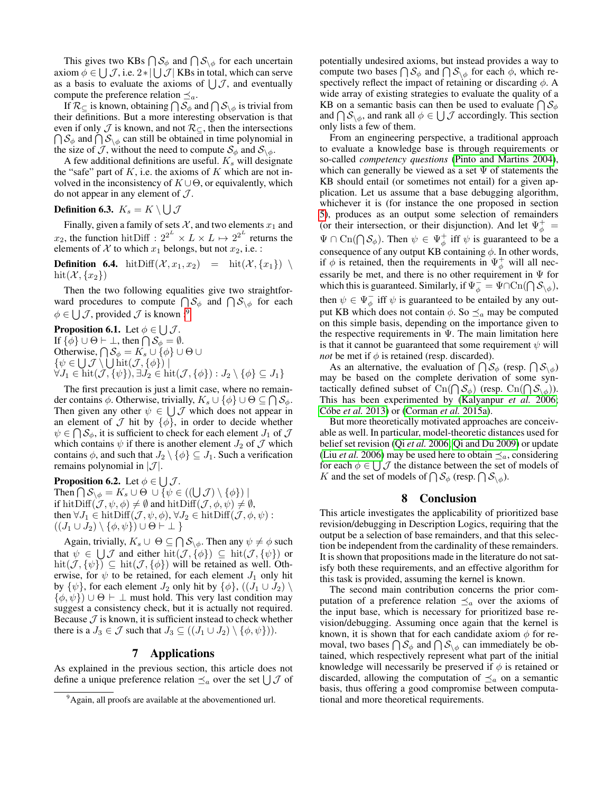This gives two KBs  $\bigcap \mathcal{S}_{\phi}$  and  $\bigcap \mathcal{S}_{\setminus \phi}$  for each uncertain axiom  $\phi \in \bigcup \mathcal{J}$ , i.e.  $2 \times |\bigcup \mathcal{J}|$  KBs in total, which can serve as a basis to evaluate the axioms of  $\bigcup \mathcal{J}$ , and eventually compute the preference relation  $\preceq_a$ .

If  $\mathcal{R}_\subseteq$  is known, obtaining  $\bigcap \mathcal{S}_\phi$  and  $\bigcap \mathcal{S}_{\setminus \phi}$  is trivial from their definitions. But a more interesting observation is that even if only  $\mathcal J$  is known, and not  $\mathcal R_{\subseteq}$ , then the intersections  $\bigcap S_{\phi}$  and  $\bigcap S_{\setminus \phi}$  can still be obtained in time polynomial in the size of J, without the need to compute  $S_{\phi}$  and  $S_{\backslash \phi}$ .

A few additional definitions are useful.  $K<sub>s</sub>$  will designate the "safe" part of  $K$ , i.e. the axioms of  $K$  which are not involved in the inconsistency of  $K \cup \Theta$ , or equivalently, which do not appear in any element of  $\mathcal{J}$ .

## Definition 6.3.  $K_s = K \setminus \bigcup \mathcal{J}$

Finally, given a family of sets  $X$ , and two elements  $x_1$  and  $x_2$ , the function hitDiff :  $2^{2^L} \times L \times L \mapsto 2^{2^L}$  returns the elements of  $X$  to which  $x_1$  belongs, but not  $x_2$ , i.e. :

**Definition 6.4.** hitDiff $(\mathcal{X}, x_1, x_2)$  = hit $(\mathcal{X}, \{x_1\})$ hit $(\mathcal{X}, \{x_2\})$ 

Then the two following equalities give two straightforward procedures to compute  $\bigcap \mathcal{S}_{\phi}$  and  $\bigcap \mathcal{S}_{\setminus \phi}$  for each  $\phi \in \bigcup \mathcal{J}$ , provided  $\mathcal J$  is known :<sup>[9](#page-6-1)</sup>

**Proposition 6.1.** Let  $\phi \in \bigcup \mathcal{J}$ . If  $\{\phi\} \cup \Theta \vdash \bot$ , then  $\bigcap \mathcal{S}_{\phi} = \emptyset$ . Otherwise,  $\bigcap \mathcal{S}_\phi = K_s \cup \{\phi\} \cup \Theta \cup$  $\{\psi \in \bigcup \mathcal{J} \setminus \bigcup \text{hit}(\mathcal{J}, \{\phi\})\}$  $\forall J_1 \in \text{hit}(\mathcal{J}, \{\psi\}), \exists J_2 \in \text{hit}(\mathcal{J}, \{\phi\}) : J_2 \setminus \{\phi\} \subseteq J_1\}$ 

The first precaution is just a limit case, where no remainder contains  $\phi$ . Otherwise, trivially,  $K_s \cup \{\phi\} \cup \Theta \subseteq \bigcap S_{\phi}$ . Then given any other  $\psi \in \bigcup \mathcal{J}$  which does not appear in an element of  $\mathcal J$  hit by  $\{\phi\}$ , in order to decide whether  $\psi \in \bigcap \mathcal{S}_{\phi}$ , it is sufficient to check for each element  $J_1$  of  $\mathcal J$ which contains  $\psi$  if there is another element  $J_2$  of  $\mathcal J$  which contains  $\phi$ , and such that  $J_2 \setminus \{\phi\} \subseteq J_1$ . Such a verification remains polynomial in  $|\mathcal{J}|$ .

**Proposition 6.2.** Let  $\phi \in \bigcup \mathcal{J}$ . Then  $\bigcap \mathcal{S}_{\setminus \phi} = K_s \cup \Theta \cup \{ \psi \in ((\bigcup \mathcal{J}) \setminus \{\phi\}) \mid$ if hitDiff( $\mathcal{J}, \psi, \phi$ )  $\neq \emptyset$  and hitDiff( $\mathcal{J}, \phi, \psi$ )  $\neq \emptyset$ , then  $\forall J_1 \in \text{hitDiff}(\mathcal{J}, \psi, \phi), \forall J_2 \in \text{hitDiff}(\mathcal{J}, \phi, \psi)$ :  $((J_1 \cup J_2) \setminus {\phi, \psi}) \cup \Theta \vdash \bot$ 

Again, trivially,  $K_s \cup \Theta \subseteq \bigcap S_{\setminus \phi}$ . Then any  $\psi \neq \phi$  such that  $\psi \in \bigcup \mathcal{J}$  and either  $\mathrm{hit}(\mathcal{J}, \{\phi\}) \subseteq \mathrm{hit}(\mathcal{J}, \{\psi\})$  or  $\text{hit}(\mathcal{J}, \{\psi\}) \subseteq \text{hit}(\mathcal{J}, \{\phi\})$  will be retained as well. Otherwise, for  $\psi$  to be retained, for each element  $J_1$  only hit by  $\{\psi\}$ , for each element  $J_2$  only hit by  $\{\phi\}$ ,  $((J_1 \cup J_2) \setminus$  $\{\phi, \psi\}$   $\cup \Theta$   $\vdash \bot$  must hold. This very last condition may suggest a consistency check, but it is actually not required. Because  $J$  is known, it is sufficient instead to check whether there is a  $J_3 \in \mathcal{J}$  such that  $J_3 \subseteq ((J_1 \cup J_2) \setminus \{\phi, \psi\})$ .

### 7 Applications

<span id="page-6-0"></span>As explained in the previous section, this article does not define a unique preference relation  $\preceq_a$  over the set  $\bigcup \mathcal{J}$  of

potentially undesired axioms, but instead provides a way to compute two bases  $\bigcap \mathcal{S}_{\phi}$  and  $\bigcap \mathcal{S}_{\setminus \phi}$  for each  $\phi$ , which respectively reflect the impact of retaining or discarding  $\phi$ . A wide array of existing strategies to evaluate the quality of a KB on a semantic basis can then be used to evaluate  $\bigcap \mathcal{S}_{\phi}$ and  $\bigcap_{\phi} S_{\setminus \phi}$ , and rank all  $\phi \in \bigcup_{\mathcal{J}}$  accordingly. This section only lists a few of them.

From an engineering perspective, a traditional approach to evaluate a knowledge base is through requirements or so-called *competency questions* [\(Pinto and Martins 2004\)](#page-7-21), which can generally be viewed as a set  $\Psi$  of statements the KB should entail (or sometimes not entail) for a given application. Let us assume that a base debugging algorithm, whichever it is (for instance the one proposed in section [5\)](#page-4-0), produces as an output some selection of remainders (or their intersection, or their disjunction). And let  $\Psi_{\phi}^{+} =$  $\Psi \cap \text{Cn}(\bigcap \mathcal{S}_{\phi})$ . Then  $\psi \in \Psi_{\phi}^+$  iff  $\psi$  is guaranteed to be a consequence of any output KB containing  $\phi$ . In other words, if  $\phi$  is retained, then the requirements in  $\Psi^+_{\phi}$  will all necessarily be met, and there is no other requirement in  $\Psi$  for which this is guaranteed. Similarly, if  $\Psi_{\phi}^{-} = \Psi \cap \text{Cn}(\bigcap \mathcal{S}_{\setminus \phi})$ , then  $\psi \in \Psi_{\phi}^-$  iff  $\psi$  is guaranteed to be entailed by any output KB which does not contain  $\phi$ . So  $\preceq_a$  may be computed on this simple basis, depending on the importance given to the respective requirements in  $\Psi$ . The main limitation here is that it cannot be guaranteed that some requirement  $\psi$  will *not* be met if  $\phi$  is retained (resp. discarded).

As an alternative, the evaluation of  $\bigcap \mathcal{S}_{\phi}$  (resp.  $\bigcap \mathcal{S}_{\setminus \phi}$ ) may be based on the complete derivation of some syntactically defined subset of  $\operatorname{Cn}(\bigcap \mathcal{S}_{\phi})$  (resp.  $\operatorname{Cn}(\bigcap \mathcal{S}_{\setminus \phi})$ ). This has been experimented by [\(Kalyanpur](#page-7-15) *et al.* 2006; Cóbe *et al.* 2013) or [\(Corman](#page-7-22) *et al.* 2015a).

But more theoretically motivated approaches are conceivable as well. In particular, model-theoretic distances used for belief set revision (Qi *et al.* [2006;](#page-7-8) [Qi and Du 2009\)](#page-7-4) or update (Liu *et al.* [2006\)](#page-7-23) may be used here to obtain  $\leq_a$ , considering for each  $\phi \in \bigcup \mathcal{J}$  the distance between the set of models of K and the set of models of  $\bigcap \mathcal{S}_{\phi}$  (resp.  $\bigcap \mathcal{S}_{\setminus \phi}$ ).

## 8 Conclusion

This article investigates the applicability of prioritized base revision/debugging in Description Logics, requiring that the output be a selection of base remainders, and that this selection be independent from the cardinality of these remainders. It is shown that propositions made in the literature do not satisfy both these requirements, and an effective algorithm for this task is provided, assuming the kernel is known.

The second main contribution concerns the prior computation of a preference relation  $\preceq_a$  over the axioms of the input base, which is necessary for prioritized base revision/debugging. Assuming once again that the kernel is known, it is shown that for each candidate axiom  $\phi$  for removal, two bases  $\bigcap \mathcal{S}_{\phi}$  and  $\bigcap \mathcal{S}_{\setminus \phi}$  can immediately be obtained, which respectively represent what part of the initial knowledge will necessarily be preserved if  $\phi$  is retained or discarded, allowing the computation of  $\preceq_a$  on a semantic basis, thus offering a good compromise between computational and more theoretical requirements.

<span id="page-6-1"></span><sup>&</sup>lt;sup>9</sup>Again, all proofs are available at the abovementioned url.